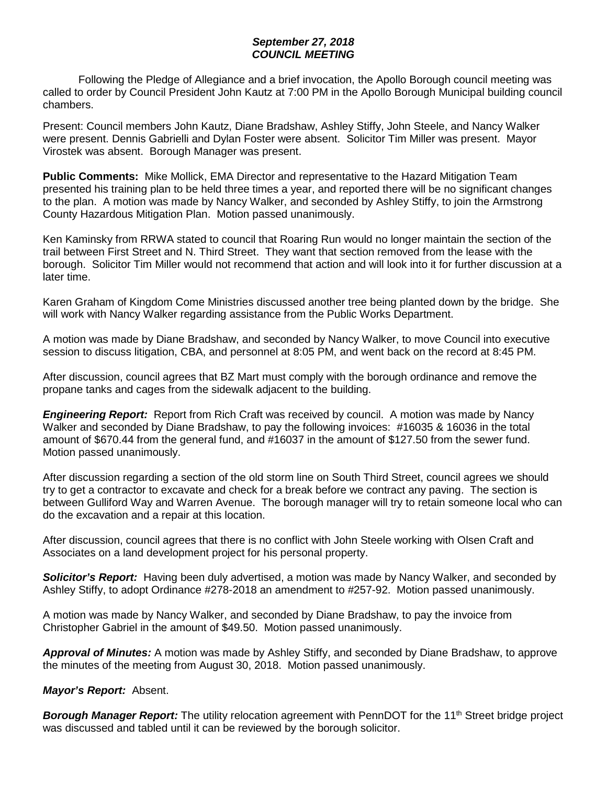## *September 27, 2018 COUNCIL MEETING*

Following the Pledge of Allegiance and a brief invocation, the Apollo Borough council meeting was called to order by Council President John Kautz at 7:00 PM in the Apollo Borough Municipal building council chambers.

Present: Council members John Kautz, Diane Bradshaw, Ashley Stiffy, John Steele, and Nancy Walker were present. Dennis Gabrielli and Dylan Foster were absent. Solicitor Tim Miller was present. Mayor Virostek was absent. Borough Manager was present.

**Public Comments:** Mike Mollick, EMA Director and representative to the Hazard Mitigation Team presented his training plan to be held three times a year, and reported there will be no significant changes to the plan. A motion was made by Nancy Walker, and seconded by Ashley Stiffy, to join the Armstrong County Hazardous Mitigation Plan. Motion passed unanimously.

Ken Kaminsky from RRWA stated to council that Roaring Run would no longer maintain the section of the trail between First Street and N. Third Street. They want that section removed from the lease with the borough. Solicitor Tim Miller would not recommend that action and will look into it for further discussion at a later time.

Karen Graham of Kingdom Come Ministries discussed another tree being planted down by the bridge. She will work with Nancy Walker regarding assistance from the Public Works Department.

A motion was made by Diane Bradshaw, and seconded by Nancy Walker, to move Council into executive session to discuss litigation, CBA, and personnel at 8:05 PM, and went back on the record at 8:45 PM.

After discussion, council agrees that BZ Mart must comply with the borough ordinance and remove the propane tanks and cages from the sidewalk adjacent to the building.

*Engineering Report:* Report from Rich Craft was received by council. A motion was made by Nancy Walker and seconded by Diane Bradshaw, to pay the following invoices: #16035 & 16036 in the total amount of \$670.44 from the general fund, and #16037 in the amount of \$127.50 from the sewer fund. Motion passed unanimously.

After discussion regarding a section of the old storm line on South Third Street, council agrees we should try to get a contractor to excavate and check for a break before we contract any paving. The section is between Gulliford Way and Warren Avenue. The borough manager will try to retain someone local who can do the excavation and a repair at this location.

After discussion, council agrees that there is no conflict with John Steele working with Olsen Craft and Associates on a land development project for his personal property.

*Solicitor's Report:* Having been duly advertised, a motion was made by Nancy Walker, and seconded by Ashley Stiffy, to adopt Ordinance #278-2018 an amendment to #257-92. Motion passed unanimously.

A motion was made by Nancy Walker, and seconded by Diane Bradshaw, to pay the invoice from Christopher Gabriel in the amount of \$49.50. Motion passed unanimously.

*Approval of Minutes:* A motion was made by Ashley Stiffy, and seconded by Diane Bradshaw, to approve the minutes of the meeting from August 30, 2018. Motion passed unanimously.

*Mayor's Report:* Absent.

**Borough Manager Report:** The utility relocation agreement with PennDOT for the 11<sup>th</sup> Street bridge project was discussed and tabled until it can be reviewed by the borough solicitor.